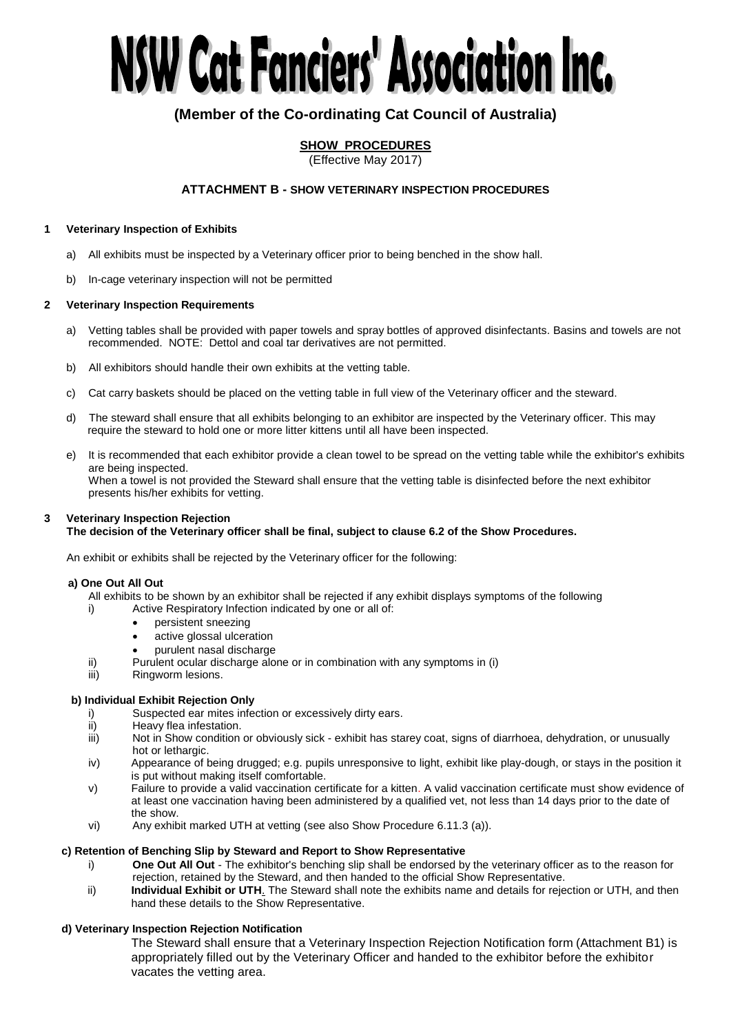# NSW Cat Fanciers' Association Inc.

# **(Member of the Co-ordinating Cat Council of Australia)**

# **SHOW PROCEDURES**

(Effective May 2017)

# **ATTACHMENT B - SHOW VETERINARY INSPECTION PROCEDURES**

### **1 Veterinary Inspection of Exhibits**

- a) All exhibits must be inspected by a Veterinary officer prior to being benched in the show hall.
- b) In-cage veterinary inspection will not be permitted

### **2 Veterinary Inspection Requirements**

- a) Vetting tables shall be provided with paper towels and spray bottles of approved disinfectants. Basins and towels are not recommended. NOTE: Dettol and coal tar derivatives are not permitted.
- b) All exhibitors should handle their own exhibits at the vetting table.
- c) Cat carry baskets should be placed on the vetting table in full view of the Veterinary officer and the steward.
- d) The steward shall ensure that all exhibits belonging to an exhibitor are inspected by the Veterinary officer. This may require the steward to hold one or more litter kittens until all have been inspected.
- e) It is recommended that each exhibitor provide a clean towel to be spread on the vetting table while the exhibitor's exhibits are being inspected. When a towel is not provided the Steward shall ensure that the vetting table is disinfected before the next exhibitor presents his/her exhibits for vetting.

# **3 Veterinary Inspection Rejection**

### **The decision of the Veterinary officer shall be final, subject to clause 6.2 of the Show Procedures.**

An exhibit or exhibits shall be rejected by the Veterinary officer for the following:

### **a) One Out All Out**

- All exhibits to be shown by an exhibitor shall be rejected if any exhibit displays symptoms of the following
- i) Active Respiratory Infection indicated by one or all of:
	- persistent sneezing
	- active glossal ulceration
	- purulent nasal discharge
- ii) Purulent ocular discharge alone or in combination with any symptoms in (i)
- iii) Ringworm lesions.

### **b) Individual Exhibit Rejection Only**

- i) Suspected ear mites infection or excessively dirty ears.
- ii) Heavy flea infestation.
- iii) Not in Show condition or obviously sick exhibit has starey coat, signs of diarrhoea, dehydration, or unusually hot or lethargic.
- iv) Appearance of being drugged; e.g. pupils unresponsive to light, exhibit like play-dough, or stays in the position it is put without making itself comfortable.
- v) Failure to provide a valid vaccination certificate for a kitten. A valid vaccination certificate must show evidence of at least one vaccination having been administered by a qualified vet, not less than 14 days prior to the date of the show.
- vi) Any exhibit marked UTH at vetting (see also Show Procedure 6.11.3 (a)).

### **c) Retention of Benching Slip by Steward and Report to Show Representative**

- i) **One Out All Out**  The exhibitor's benching slip shall be endorsed by the veterinary officer as to the reason for rejection, retained by the Steward, and then handed to the official Show Representative.
- ii) **Individual Exhibit or UTH**. The Steward shall note the exhibits name and details for rejection or UTH, and then hand these details to the Show Representative.

## **d) Veterinary Inspection Rejection Notification**

The Steward shall ensure that a Veterinary Inspection Rejection Notification form (Attachment B1) is appropriately filled out by the Veterinary Officer and handed to the exhibitor before the exhibitor vacates the vetting area.